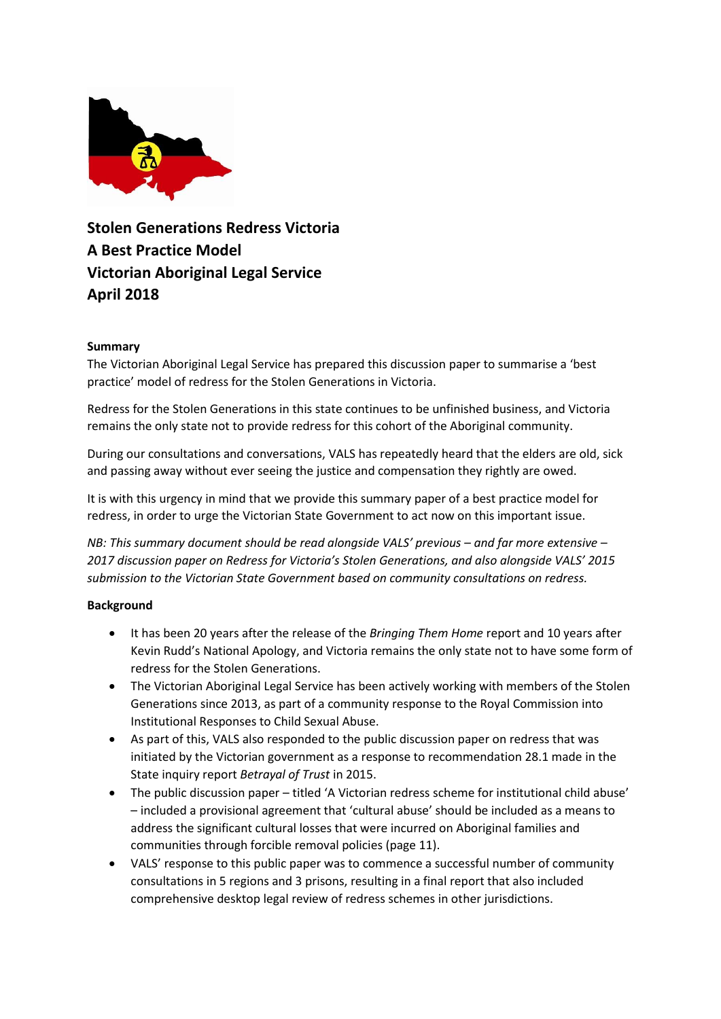

**Stolen Generations Redress Victoria A Best Practice Model Victorian Aboriginal Legal Service April 2018**

## **Summary**

The Victorian Aboriginal Legal Service has prepared this discussion paper to summarise a 'best practice' model of redress for the Stolen Generations in Victoria.

Redress for the Stolen Generations in this state continues to be unfinished business, and Victoria remains the only state not to provide redress for this cohort of the Aboriginal community.

During our consultations and conversations, VALS has repeatedly heard that the elders are old, sick and passing away without ever seeing the justice and compensation they rightly are owed.

It is with this urgency in mind that we provide this summary paper of a best practice model for redress, in order to urge the Victorian State Government to act now on this important issue.

*NB: This summary document should be read alongside VALS' previous – and far more extensive – 2017 discussion paper on Redress for Victoria's Stolen Generations, and also alongside VALS' 2015 submission to the Victorian State Government based on community consultations on redress.*

#### **Background**

- It has been 20 years after the release of the *Bringing Them Home* report and 10 years after Kevin Rudd's National Apology, and Victoria remains the only state not to have some form of redress for the Stolen Generations.
- The Victorian Aboriginal Legal Service has been actively working with members of the Stolen Generations since 2013, as part of a community response to the Royal Commission into Institutional Responses to Child Sexual Abuse.
- As part of this, VALS also responded to the public discussion paper on redress that was initiated by the Victorian government as a response to recommendation 28.1 made in the State inquiry report *Betrayal of Trust* in 2015.
- The public discussion paper titled 'A Victorian redress scheme for institutional child abuse' – included a provisional agreement that 'cultural abuse' should be included as a means to address the significant cultural losses that were incurred on Aboriginal families and communities through forcible removal policies (page 11).
- VALS' response to this public paper was to commence a successful number of community consultations in 5 regions and 3 prisons, resulting in a final report that also included comprehensive desktop legal review of redress schemes in other jurisdictions.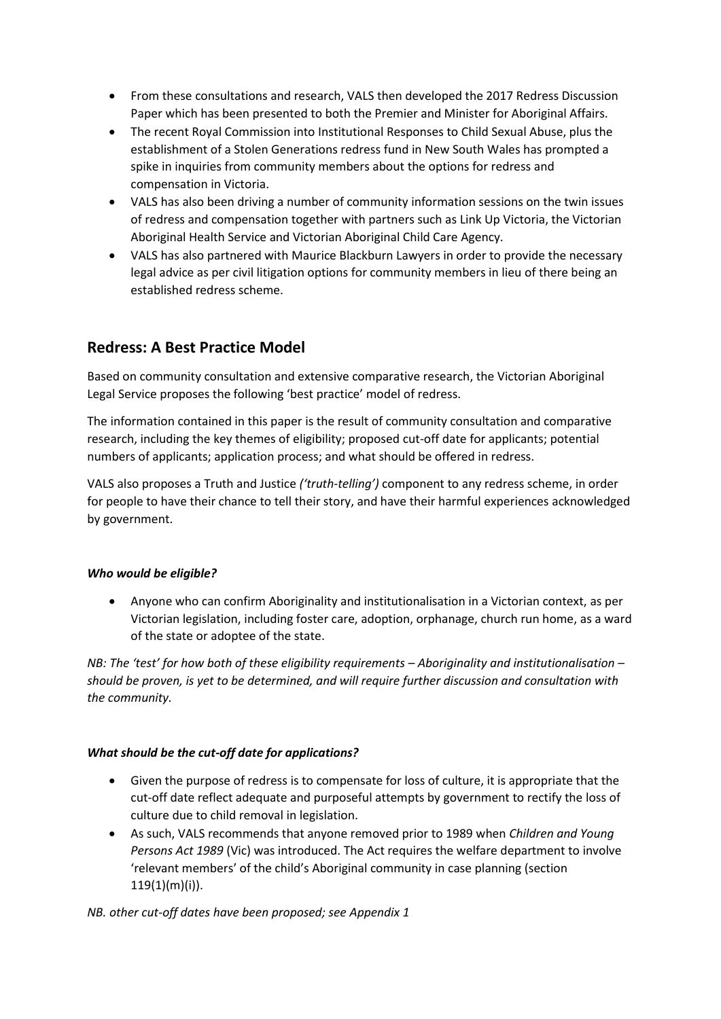- From these consultations and research, VALS then developed the 2017 Redress Discussion Paper which has been presented to both the Premier and Minister for Aboriginal Affairs.
- The recent Royal Commission into Institutional Responses to Child Sexual Abuse, plus the establishment of a Stolen Generations redress fund in New South Wales has prompted a spike in inquiries from community members about the options for redress and compensation in Victoria.
- VALS has also been driving a number of community information sessions on the twin issues of redress and compensation together with partners such as Link Up Victoria, the Victorian Aboriginal Health Service and Victorian Aboriginal Child Care Agency.
- VALS has also partnered with Maurice Blackburn Lawyers in order to provide the necessary legal advice as per civil litigation options for community members in lieu of there being an established redress scheme.

# **Redress: A Best Practice Model**

Based on community consultation and extensive comparative research, the Victorian Aboriginal Legal Service proposes the following 'best practice' model of redress.

The information contained in this paper is the result of community consultation and comparative research, including the key themes of eligibility; proposed cut-off date for applicants; potential numbers of applicants; application process; and what should be offered in redress.

VALS also proposes a Truth and Justice *('truth-telling')* component to any redress scheme, in order for people to have their chance to tell their story, and have their harmful experiences acknowledged by government.

# *Who would be eligible?*

 Anyone who can confirm Aboriginality and institutionalisation in a Victorian context, as per Victorian legislation, including foster care, adoption, orphanage, church run home, as a ward of the state or adoptee of the state.

*NB: The 'test' for how both of these eligibility requirements – Aboriginality and institutionalisation – should be proven, is yet to be determined, and will require further discussion and consultation with the community.* 

# *What should be the cut-off date for applications?*

- Given the purpose of redress is to compensate for loss of culture, it is appropriate that the cut-off date reflect adequate and purposeful attempts by government to rectify the loss of culture due to child removal in legislation.
- As such, VALS recommends that anyone removed prior to 1989 when *Children and Young Persons Act 1989* (Vic) was introduced. The Act requires the welfare department to involve 'relevant members' of the child's Aboriginal community in case planning (section 119(1)(m)(i)).

*NB. other cut-off dates have been proposed; see Appendix 1*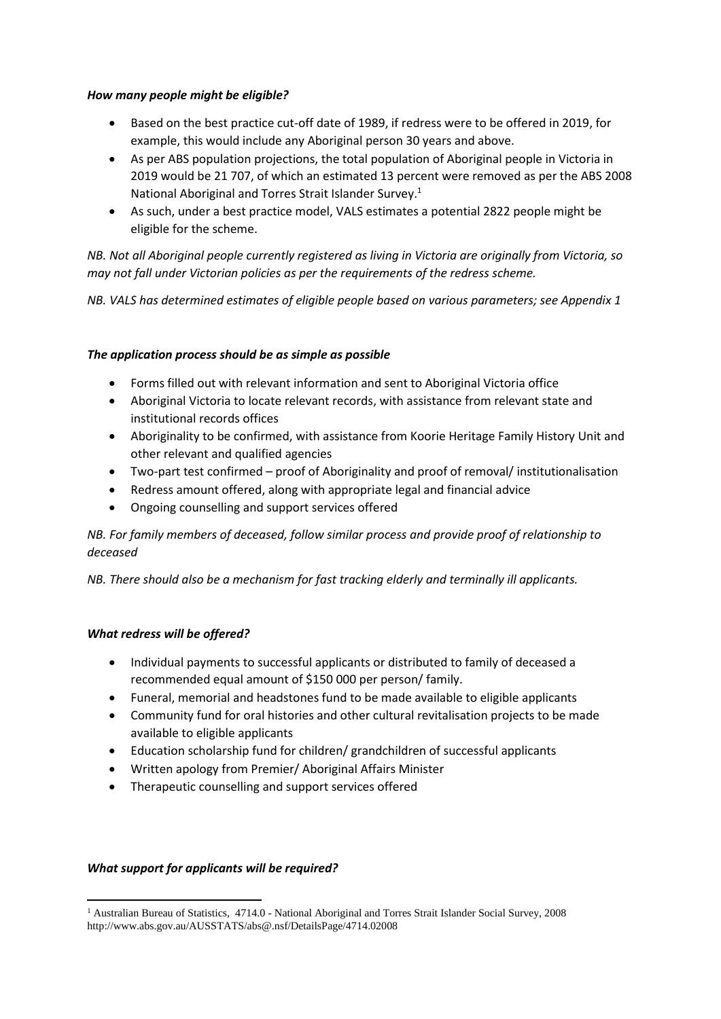## *How many people might be eligible?*

- Based on the best practice cut-off date of 1989, if redress were to be offered in 2019, for example, this would include any Aboriginal person 30 years and above.
- As per ABS population projections, the total population of Aboriginal people in Victoria in 2019 would be 21 707, of which an estimated 13 percent were removed as per the ABS 2008 National Aboriginal and Torres Strait Islander Survey.<sup>1</sup>
- As such, under a best practice model, VALS estimates a potential 2822 people might be eligible for the scheme.

*NB. Not all Aboriginal people currently registered as living in Victoria are originally from Victoria, so may not fall under Victorian policies as per the requirements of the redress scheme.*

*NB. VALS has determined estimates of eligible people based on various parameters; see Appendix 1*

## *The application process should be as simple as possible*

- Forms filled out with relevant information and sent to Aboriginal Victoria office
- Aboriginal Victoria to locate relevant records, with assistance from relevant state and institutional records offices
- Aboriginality to be confirmed, with assistance from Koorie Heritage Family History Unit and other relevant and qualified agencies
- Two-part test confirmed proof of Aboriginality and proof of removal/ institutionalisation
- Redress amount offered, along with appropriate legal and financial advice
- Ongoing counselling and support services offered

*NB. For family members of deceased, follow similar process and provide proof of relationship to deceased*

*NB. There should also be a mechanism for fast tracking elderly and terminally ill applicants.*

#### *What redress will be offered?*

- Individual payments to successful applicants or distributed to family of deceased a recommended equal amount of \$150 000 per person/ family.
- Funeral, memorial and headstones fund to be made available to eligible applicants
- Community fund for oral histories and other cultural revitalisation projects to be made available to eligible applicants
- Education scholarship fund for children/ grandchildren of successful applicants
- Written apology from Premier/ Aboriginal Affairs Minister
- Therapeutic counselling and support services offered

#### *What support for applicants will be required?*

**<sup>.</sup>** <sup>1</sup> Australian Bureau of Statistics, 4714.0 - National Aboriginal and Torres Strait Islander Social Survey, 2008 http://www.abs.gov.au/AUSSTATS/abs@.nsf/DetailsPage/4714.02008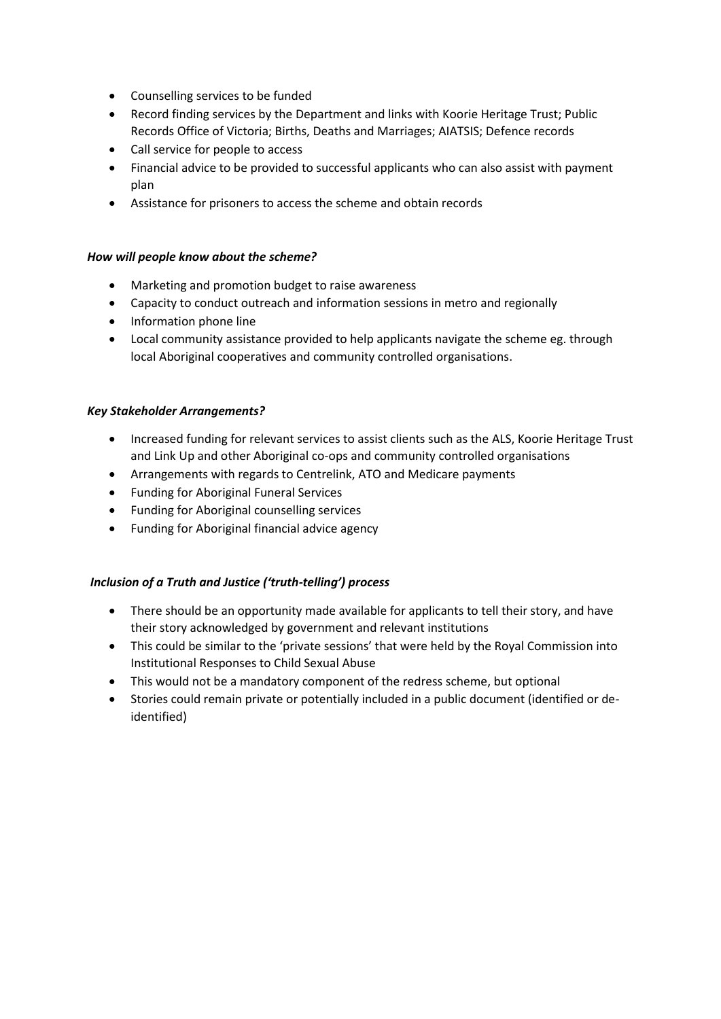- Counselling services to be funded
- Record finding services by the Department and links with Koorie Heritage Trust; Public Records Office of Victoria; Births, Deaths and Marriages; AIATSIS; Defence records
- Call service for people to access
- Financial advice to be provided to successful applicants who can also assist with payment plan
- Assistance for prisoners to access the scheme and obtain records

# *How will people know about the scheme?*

- Marketing and promotion budget to raise awareness
- Capacity to conduct outreach and information sessions in metro and regionally
- Information phone line
- Local community assistance provided to help applicants navigate the scheme eg. through local Aboriginal cooperatives and community controlled organisations.

## *Key Stakeholder Arrangements?*

- Increased funding for relevant services to assist clients such as the ALS, Koorie Heritage Trust and Link Up and other Aboriginal co-ops and community controlled organisations
- Arrangements with regards to Centrelink, ATO and Medicare payments
- Funding for Aboriginal Funeral Services
- Funding for Aboriginal counselling services
- Funding for Aboriginal financial advice agency

# *Inclusion of a Truth and Justice ('truth-telling') process*

- There should be an opportunity made available for applicants to tell their story, and have their story acknowledged by government and relevant institutions
- This could be similar to the 'private sessions' that were held by the Royal Commission into Institutional Responses to Child Sexual Abuse
- This would not be a mandatory component of the redress scheme, but optional
- Stories could remain private or potentially included in a public document (identified or deidentified)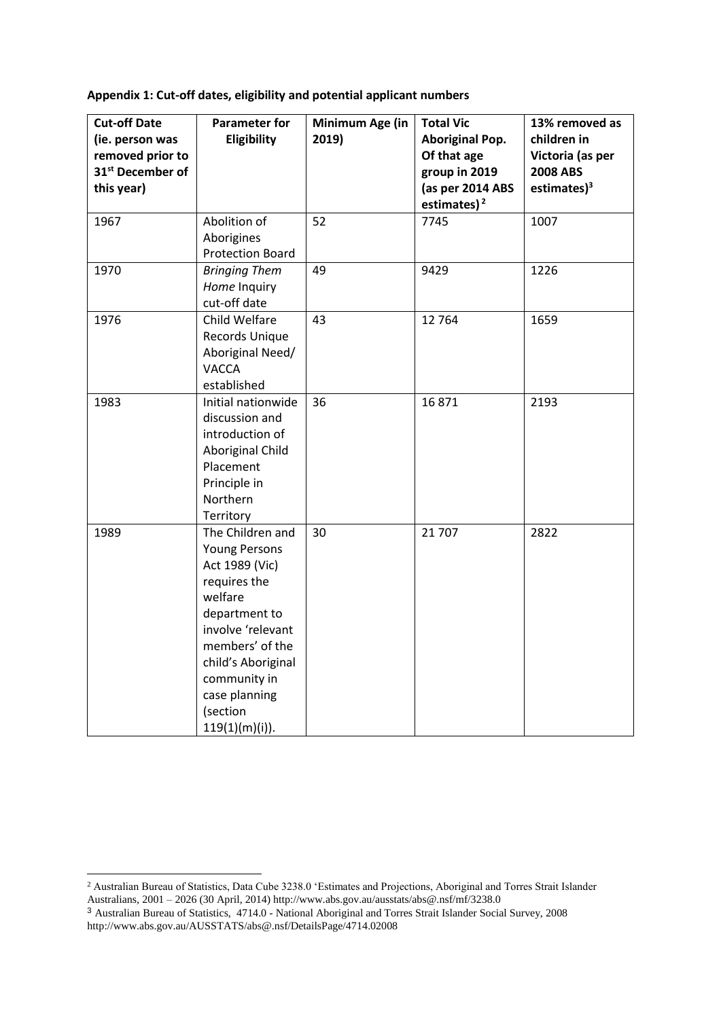**Appendix 1: Cut-off dates, eligibility and potential applicant numbers**

| <b>Cut-off Date</b><br>(ie. person was<br>removed prior to<br>31 <sup>st</sup> December of<br>this year) | <b>Parameter for</b><br>Eligibility                                                                                                                                                                                                    | Minimum Age (in<br>2019) | <b>Total Vic</b><br><b>Aboriginal Pop.</b><br>Of that age<br>group in 2019<br>(as per 2014 ABS<br>estimates) $2$ | 13% removed as<br>children in<br>Victoria (as per<br><b>2008 ABS</b><br>estimates $)^3$ |
|----------------------------------------------------------------------------------------------------------|----------------------------------------------------------------------------------------------------------------------------------------------------------------------------------------------------------------------------------------|--------------------------|------------------------------------------------------------------------------------------------------------------|-----------------------------------------------------------------------------------------|
| 1967                                                                                                     | Abolition of<br>Aborigines<br><b>Protection Board</b>                                                                                                                                                                                  | 52                       | 7745                                                                                                             | 1007                                                                                    |
| 1970                                                                                                     | <b>Bringing Them</b><br>Home Inquiry<br>cut-off date                                                                                                                                                                                   | 49                       | 9429                                                                                                             | 1226                                                                                    |
| 1976                                                                                                     | Child Welfare<br>Records Unique<br>Aboriginal Need/<br><b>VACCA</b><br>established                                                                                                                                                     | 43                       | 12764                                                                                                            | 1659                                                                                    |
| 1983                                                                                                     | Initial nationwide<br>discussion and<br>introduction of<br>Aboriginal Child<br>Placement<br>Principle in<br>Northern<br>Territory                                                                                                      | 36                       | 16871                                                                                                            | 2193                                                                                    |
| 1989                                                                                                     | The Children and<br><b>Young Persons</b><br>Act 1989 (Vic)<br>requires the<br>welfare<br>department to<br>involve 'relevant<br>members' of the<br>child's Aboriginal<br>community in<br>case planning<br>(section<br>$119(1)(m)(i)$ ). | 30                       | 21 707                                                                                                           | 2822                                                                                    |

**.** 

<sup>2</sup> Australian Bureau of Statistics, Data Cube 3238.0 'Estimates and Projections, Aboriginal and Torres Strait Islander Australians, 2001 – 2026 (30 April, 2014) http://www.abs.gov.au/ausstats/abs@.nsf/mf/3238.0

<sup>3</sup> Australian Bureau of Statistics, 4714.0 - National Aboriginal and Torres Strait Islander Social Survey, 2008 http://www.abs.gov.au/AUSSTATS/abs@.nsf/DetailsPage/4714.02008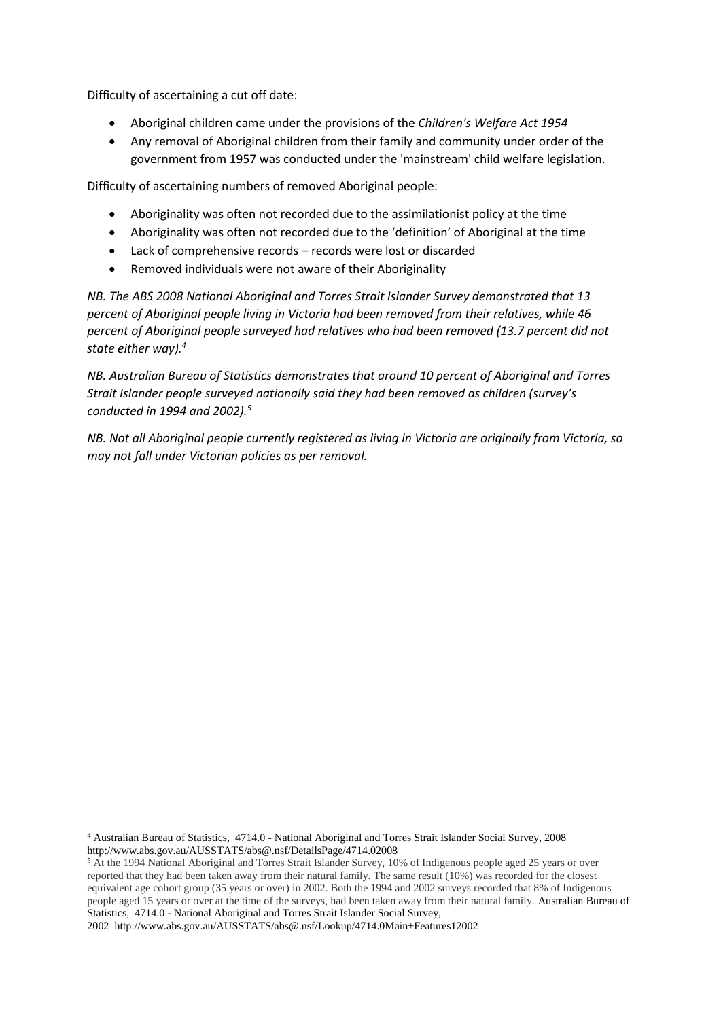Difficulty of ascertaining a cut off date:

- Aboriginal children came under the provisions of the *Children's Welfare Act 1954*
- Any removal of Aboriginal children from their family and community under order of the government from 1957 was conducted under the 'mainstream' child welfare legislation.

Difficulty of ascertaining numbers of removed Aboriginal people:

- Aboriginality was often not recorded due to the assimilationist policy at the time
- Aboriginality was often not recorded due to the 'definition' of Aboriginal at the time
- Lack of comprehensive records records were lost or discarded
- Removed individuals were not aware of their Aboriginality

*NB. The ABS 2008 National Aboriginal and Torres Strait Islander Survey demonstrated that 13 percent of Aboriginal people living in Victoria had been removed from their relatives, while 46 percent of Aboriginal people surveyed had relatives who had been removed (13.7 percent did not state either way).<sup>4</sup>*

*NB. Australian Bureau of Statistics demonstrates that around 10 percent of Aboriginal and Torres Strait Islander people surveyed nationally said they had been removed as children (survey's conducted in 1994 and 2002).<sup>5</sup>*

*NB. Not all Aboriginal people currently registered as living in Victoria are originally from Victoria, so may not fall under Victorian policies as per removal.*

<sup>4</sup> Australian Bureau of Statistics, 4714.0 - National Aboriginal and Torres Strait Islander Social Survey, 2008 http://www.abs.gov.au/AUSSTATS/abs@.nsf/DetailsPage/4714.02008

<sup>5</sup> At the 1994 National Aboriginal and Torres Strait Islander Survey, 10% of Indigenous people aged 25 years or over reported that they had been taken away from their natural family. The same result (10%) was recorded for the closest equivalent age cohort group (35 years or over) in 2002. Both the 1994 and 2002 surveys recorded that 8% of Indigenous people aged 15 years or over at the time of the surveys, had been taken away from their natural family. Australian Bureau of Statistics, 4714.0 - National Aboriginal and Torres Strait Islander Social Survey,

<sup>2002</sup> http://www.abs.gov.au/AUSSTATS/abs@.nsf/Lookup/4714.0Main+Features12002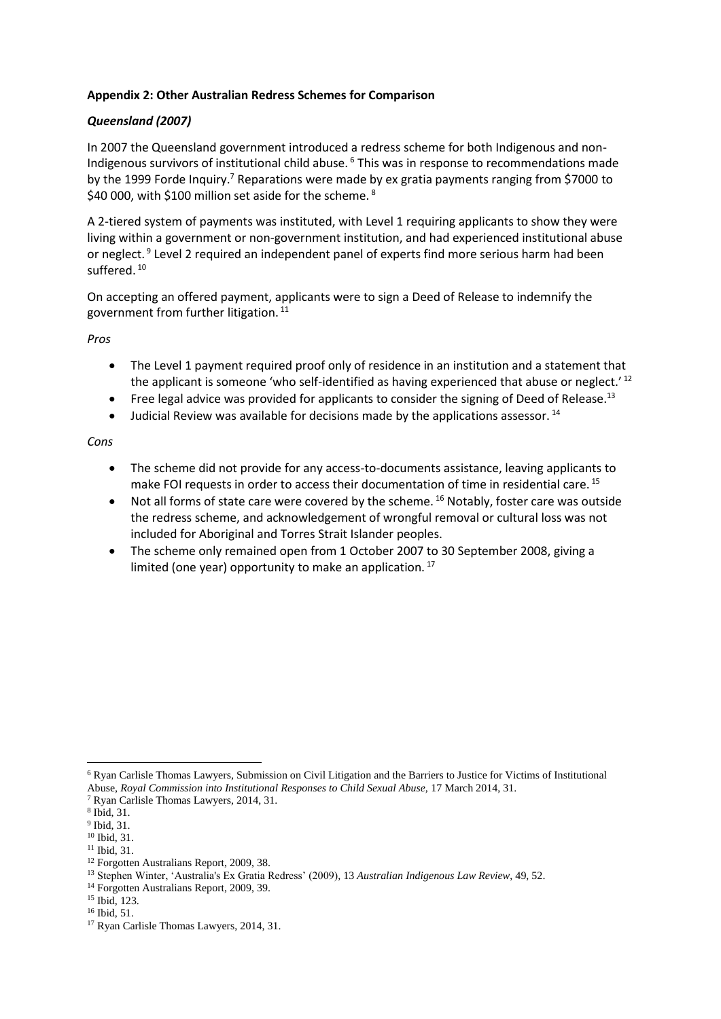## **Appendix 2: Other Australian Redress Schemes for Comparison**

# *Queensland (2007)*

In 2007 the Queensland government introduced a redress scheme for both Indigenous and non-Indigenous survivors of institutional child abuse. <sup>6</sup> This was in response to recommendations made by the 1999 Forde Inquiry.<sup>7</sup> Reparations were made by ex gratia payments ranging from \$7000 to \$40 000, with \$100 million set aside for the scheme.<sup>8</sup>

A 2-tiered system of payments was instituted, with Level 1 requiring applicants to show they were living within a government or non-government institution, and had experienced institutional abuse or neglect.<sup>9</sup> Level 2 required an independent panel of experts find more serious harm had been suffered.<sup>10</sup>

On accepting an offered payment, applicants were to sign a Deed of Release to indemnify the government from further litigation. <sup>11</sup>

*Pros*

- The Level 1 payment required proof only of residence in an institution and a statement that the applicant is someone 'who self-identified as having experienced that abuse or neglect.'<sup>12</sup>
- Free legal advice was provided for applicants to consider the signing of Deed of Release.<sup>13</sup>
- $\bullet$  Judicial Review was available for decisions made by the applications assessor. <sup>14</sup>

*Cons*

- The scheme did not provide for any access-to-documents assistance, leaving applicants to make FOI requests in order to access their documentation of time in residential care. <sup>15</sup>
- $\bullet$  Not all forms of state care were covered by the scheme. <sup>16</sup> Notably, foster care was outside the redress scheme, and acknowledgement of wrongful removal or cultural loss was not included for Aboriginal and Torres Strait Islander peoples.
- The scheme only remained open from 1 October 2007 to 30 September 2008, giving a limited (one year) opportunity to make an application.<sup>17</sup>

<sup>6</sup> Ryan Carlisle Thomas Lawyers, Submission on Civil Litigation and the Barriers to Justice for Victims of Institutional Abuse, *Royal Commission into Institutional Responses to Child Sexual Abuse,* 17 March 2014, 31.

<sup>7</sup> Ryan Carlisle Thomas Lawyers, 2014, 31.

<sup>8</sup> Ibid, 31.

<sup>9</sup> Ibid, 31.

<sup>10</sup> Ibid, 31.

<sup>11</sup> Ibid, 31.

<sup>12</sup> Forgotten Australians Report, 2009, 38.

<sup>13</sup> Stephen Winter, 'Australia's Ex Gratia Redress' (2009)*,* 13 *Australian Indigenous Law Review*, 49, 52.

<sup>&</sup>lt;sup>14</sup> Forgotten Australians Report, 2009, 39.

<sup>15</sup> Ibid, 123.

<sup>16</sup> Ibid, 51.

<sup>17</sup> Ryan Carlisle Thomas Lawyers, 2014, 31.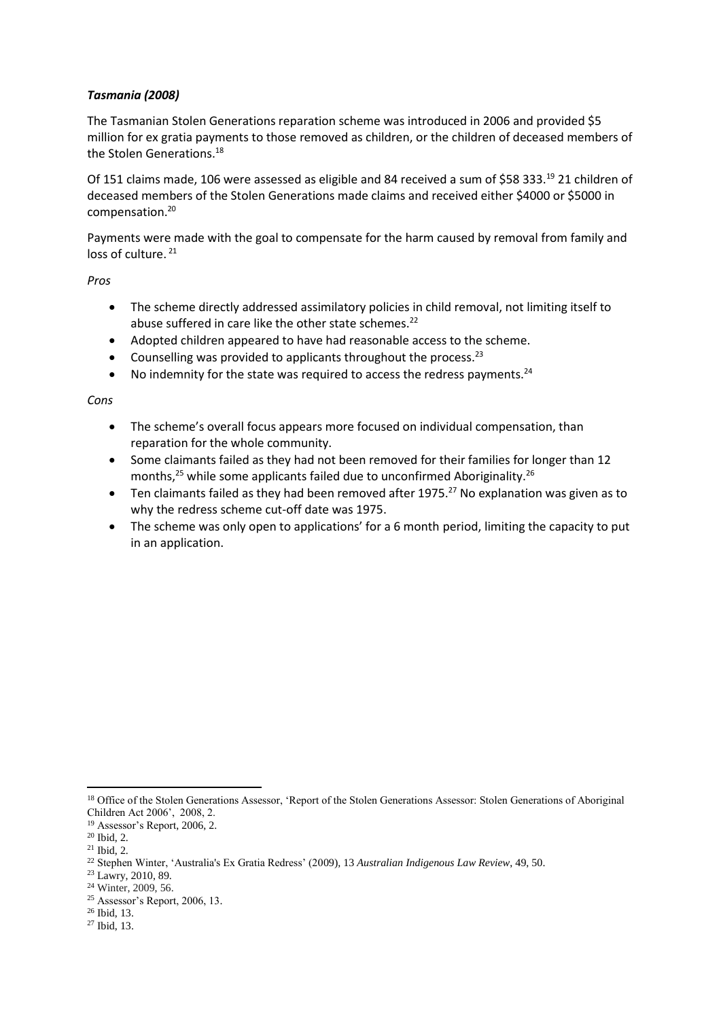# *Tasmania (2008)*

The Tasmanian Stolen Generations reparation scheme was introduced in 2006 and provided \$5 million for ex gratia payments to those removed as children, or the children of deceased members of the Stolen Generations.<sup>18</sup>

Of 151 claims made, 106 were assessed as eligible and 84 received a sum of \$58 333.<sup>19</sup> 21 children of deceased members of the Stolen Generations made claims and received either \$4000 or \$5000 in compensation.<sup>20</sup>

Payments were made with the goal to compensate for the harm caused by removal from family and loss of culture.<sup>21</sup>

*Pros* 

- The scheme directly addressed assimilatory policies in child removal, not limiting itself to abuse suffered in care like the other state schemes.<sup>22</sup>
- Adopted children appeared to have had reasonable access to the scheme.
- Counselling was provided to applicants throughout the process.  $23$
- $\bullet$  No indemnity for the state was required to access the redress payments.<sup>24</sup>

#### *Cons*

- The scheme's overall focus appears more focused on individual compensation, than reparation for the whole community.
- Some claimants failed as they had not been removed for their families for longer than 12 months,<sup>25</sup> while some applicants failed due to unconfirmed Aboriginality.<sup>26</sup>
- **•** Ten claimants failed as they had been removed after 1975.<sup>27</sup> No explanation was given as to why the redress scheme cut-off date was 1975.
- The scheme was only open to applications' for a 6 month period, limiting the capacity to put in an application.

<sup>&</sup>lt;sup>18</sup> Office of the Stolen Generations Assessor, 'Report of the Stolen Generations Assessor: Stolen Generations of Aboriginal Children Act 2006', 2008, 2.

<sup>19</sup> Assessor's Report, 2006, 2.

<sup>20</sup> Ibid, 2.

 $21$  Ibid.  $2$ .

<sup>22</sup> Stephen Winter, 'Australia's Ex Gratia Redress' (2009)*,* 13 *Australian Indigenous Law Review*, 49, 50.

<sup>&</sup>lt;sup>23</sup> Lawry, 2010, 89.

<sup>24</sup> Winter, 2009, 56.

<sup>25</sup> Assessor's Report, 2006, 13.

<sup>26</sup> Ibid, 13.

<sup>27</sup> Ibid, 13.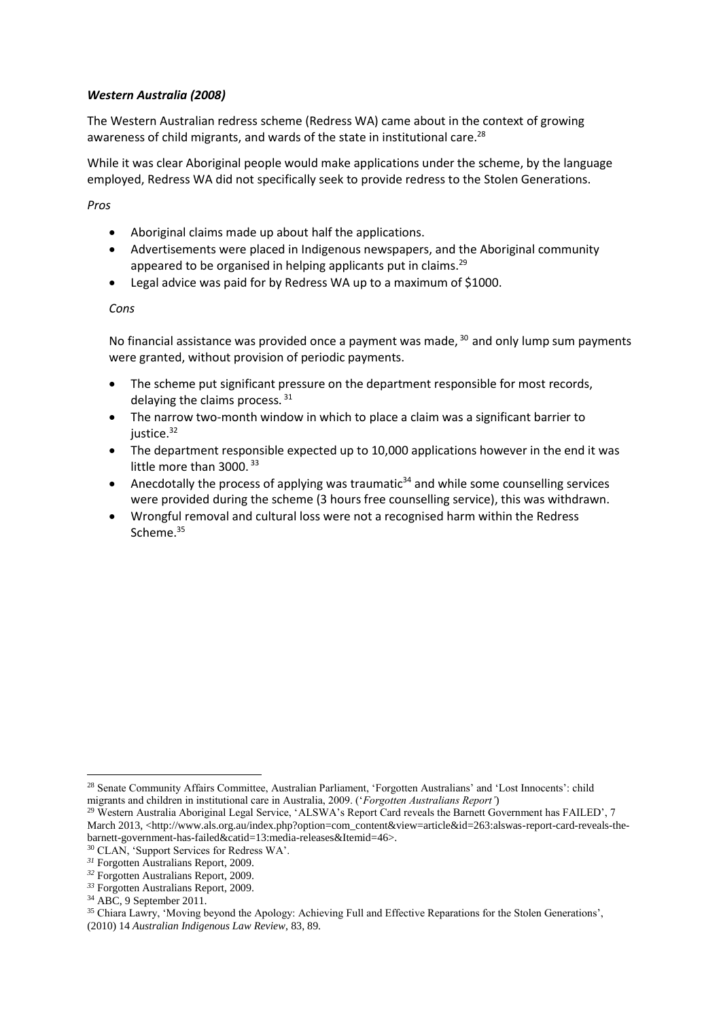## *Western Australia (2008)*

The Western Australian redress scheme (Redress WA) came about in the context of growing awareness of child migrants, and wards of the state in institutional care.<sup>28</sup>

While it was clear Aboriginal people would make applications under the scheme, by the language employed, Redress WA did not specifically seek to provide redress to the Stolen Generations.

*Pros*

- Aboriginal claims made up about half the applications.
- Advertisements were placed in Indigenous newspapers, and the Aboriginal community appeared to be organised in helping applicants put in claims.<sup>29</sup>
- Legal advice was paid for by Redress WA up to a maximum of \$1000.

#### *Cons*

No financial assistance was provided once a payment was made,  $30$  and only lump sum payments were granted, without provision of periodic payments.

- The scheme put significant pressure on the department responsible for most records, delaying the claims process. 31
- The narrow two-month window in which to place a claim was a significant barrier to iustice. $32$
- The department responsible expected up to 10,000 applications however in the end it was little more than 3000.<sup>33</sup>
- Anecdotally the process of applying was traumatic<sup>34</sup> and while some counselling services were provided during the scheme (3 hours free counselling service), this was withdrawn.
- Wrongful removal and cultural loss were not a recognised harm within the Redress Scheme.<sup>35</sup>

**<sup>.</sup>** <sup>28</sup> Senate Community Affairs Committee, Australian Parliament, 'Forgotten Australians' and 'Lost Innocents': child migrants and children in institutional care in Australia, 2009. ('*Forgotten Australians Report'*)

<sup>&</sup>lt;sup>29</sup> Western Australia Aboriginal Legal Service, 'ALSWA's Report Card reveals the Barnett Government has FAILED', 7 March 2013, <http://www.als.org.au/index.php?option=com\_content&view=article&id=263:alswas-report-card-reveals-thebarnett-government-has-failed&catid=13:media-releases&Itemid=46>.

<sup>30</sup> CLAN, 'Support Services for Redress WA'.

*<sup>31</sup>* Forgotten Australians Report, 2009.

*<sup>32</sup>* Forgotten Australians Report, 2009.

*<sup>33</sup>* Forgotten Australians Report, 2009.

 $34$  ABC, 9 September 2011.

<sup>35</sup> Chiara Lawry, 'Moving beyond the Apology: Achieving Full and Effective Reparations for the Stolen Generations', (2010) 14 *Australian Indigenous Law Review*, 83, 89.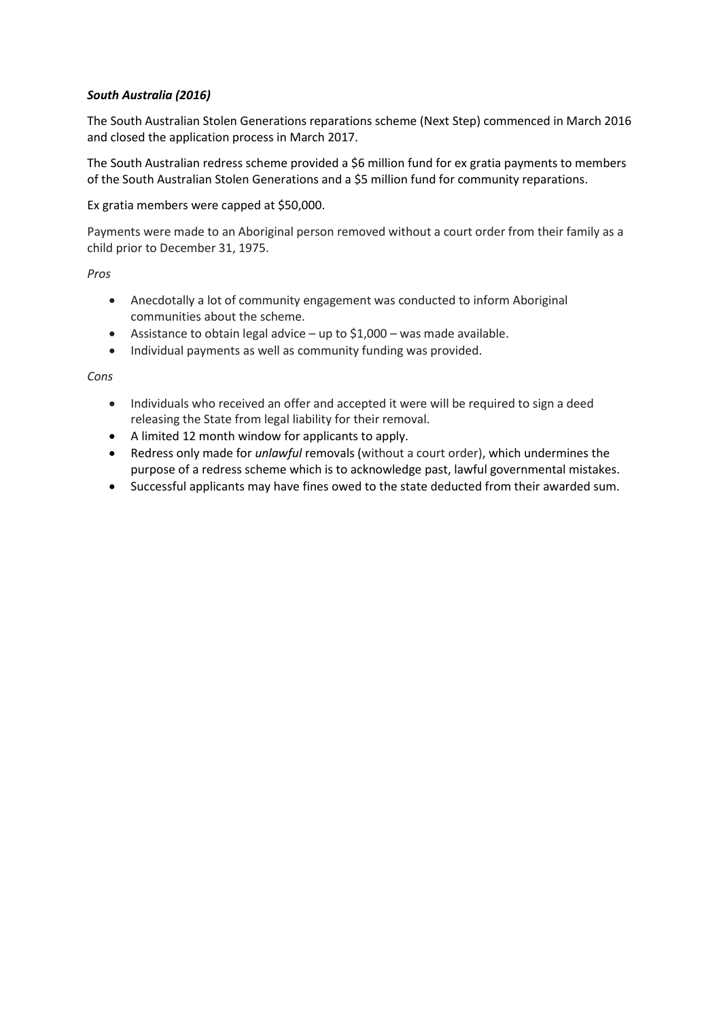# *South Australia (2016)*

The South Australian Stolen Generations reparations scheme (Next Step) commenced in March 2016 and closed the application process in March 2017.

The South Australian redress scheme provided a \$6 million fund for ex gratia payments to members of the South Australian Stolen Generations and a \$5 million fund for community reparations.

Ex gratia members were capped at \$50,000.

Payments were made to an Aboriginal person removed without a court order from their family as a child prior to December 31, 1975.

*Pros*

- Anecdotally a lot of community engagement was conducted to inform Aboriginal communities about the scheme.
- Assistance to obtain legal advice up to  $$1,000$  was made available.
- Individual payments as well as community funding was provided.

*Cons*

- Individuals who received an offer and accepted it were will be required to sign a deed releasing the State from legal liability for their removal.
- A limited 12 month window for applicants to apply.
- Redress only made for *unlawful* removals (without a court order), which undermines the purpose of a redress scheme which is to acknowledge past, lawful governmental mistakes.
- Successful applicants may have fines owed to the state deducted from their awarded sum.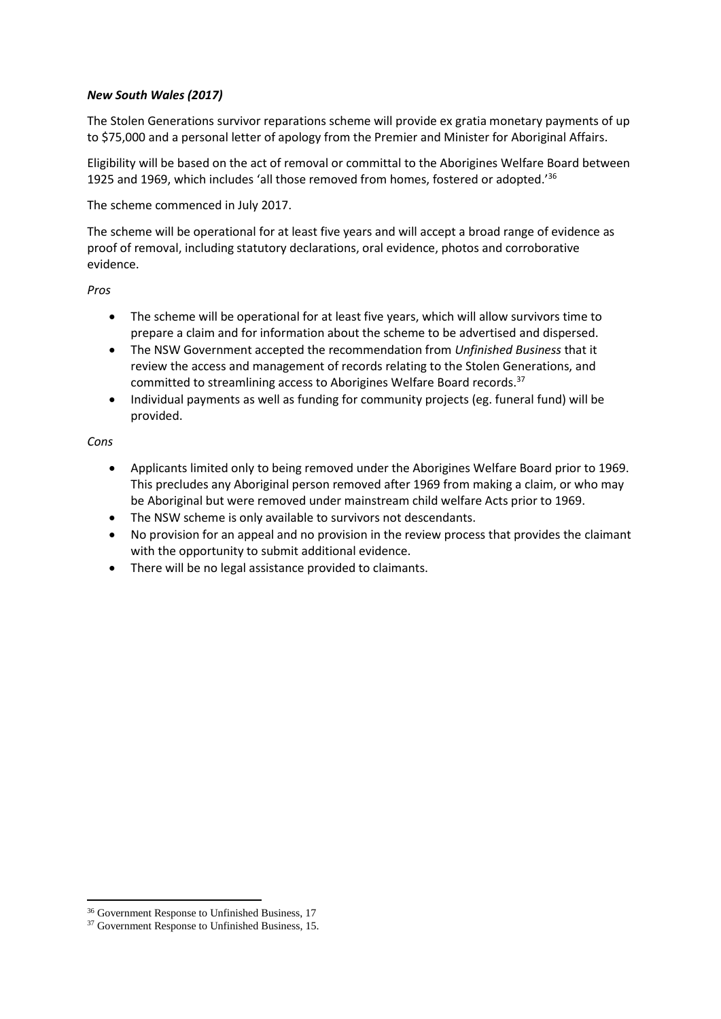## *New South Wales (2017)*

The Stolen Generations survivor reparations scheme will provide ex gratia monetary payments of up to \$75,000 and a personal letter of apology from the Premier and Minister for Aboriginal Affairs.

Eligibility will be based on the act of removal or committal to the Aborigines Welfare Board between 1925 and 1969, which includes 'all those removed from homes, fostered or adopted.'<sup>36</sup>

The scheme commenced in July 2017.

The scheme will be operational for at least five years and will accept a broad range of evidence as proof of removal, including statutory declarations, oral evidence, photos and corroborative evidence.

*Pros*

- The scheme will be operational for at least five years, which will allow survivors time to prepare a claim and for information about the scheme to be advertised and dispersed.
- The NSW Government accepted the recommendation from *Unfinished Business* that it review the access and management of records relating to the Stolen Generations, and committed to streamlining access to Aborigines Welfare Board records.<sup>37</sup>
- Individual payments as well as funding for community projects (eg. funeral fund) will be provided.

## *Cons*

**.** 

- Applicants limited only to being removed under the Aborigines Welfare Board prior to 1969. This precludes any Aboriginal person removed after 1969 from making a claim, or who may be Aboriginal but were removed under mainstream child welfare Acts prior to 1969.
- The NSW scheme is only available to survivors not descendants.
- No provision for an appeal and no provision in the review process that provides the claimant with the opportunity to submit additional evidence.
- There will be no legal assistance provided to claimants.

<sup>36</sup> Government Response to Unfinished Business, 17

<sup>&</sup>lt;sup>37</sup> Government Response to Unfinished Business, 15.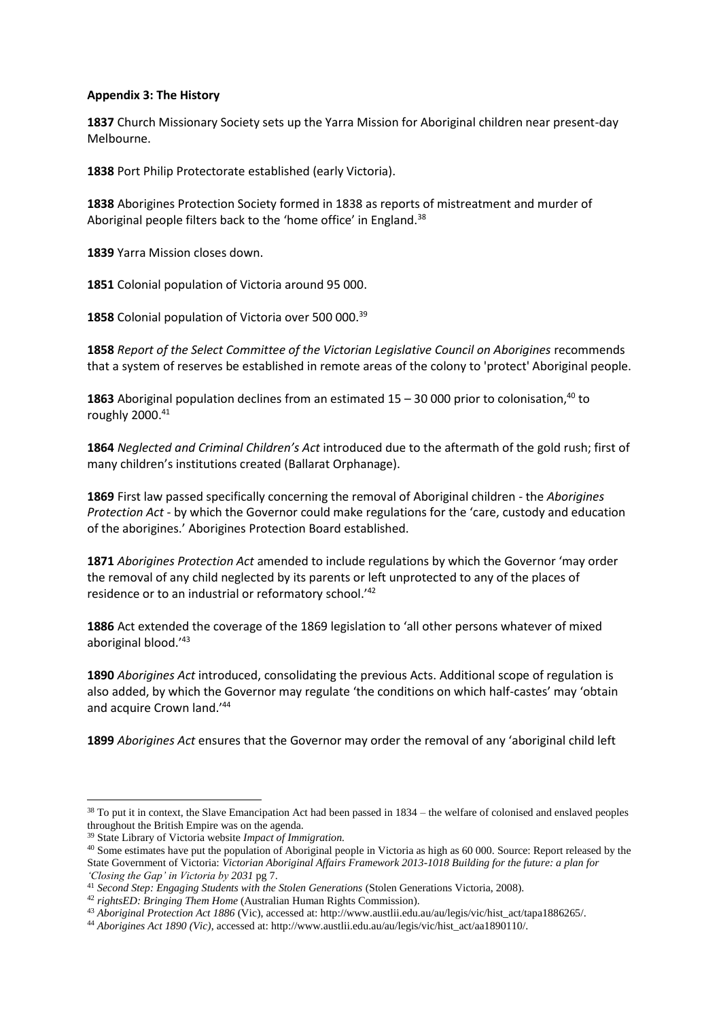#### **Appendix 3: The History**

**1837** Church Missionary Society sets up the Yarra Mission for Aboriginal children near present-day Melbourne.

**1838** Port Philip Protectorate established (early Victoria).

**1838** Aborigines Protection Society formed in 1838 as reports of mistreatment and murder of Aboriginal people filters back to the 'home office' in England.<sup>38</sup>

**1839** Yarra Mission closes down.

**1851** Colonial population of Victoria around 95 000.

1858 Colonial population of Victoria over 500 000.<sup>39</sup>

**1858** *Report of the Select Committee of the Victorian Legislative Council on Aborigines* recommends that a system of reserves be established in remote areas of the colony to 'protect' Aboriginal people.

**1863** Aboriginal population declines from an estimated  $15 - 30000$  prior to colonisation,<sup>40</sup> to roughly 2000.<sup>41</sup>

**1864** *Neglected and Criminal Children's Act* introduced due to the aftermath of the gold rush; first of many children's institutions created (Ballarat Orphanage).

**1869** First law passed specifically concerning the removal of Aboriginal children - the *Aborigines Protection Act* - by which the Governor could make regulations for the 'care, custody and education of the aborigines.' Aborigines Protection Board established.

**1871** *Aborigines Protection Act* amended to include regulations by which the Governor 'may order the removal of any child neglected by its parents or left unprotected to any of the places of residence or to an industrial or reformatory school.'<sup>42</sup>

**1886** Act extended the coverage of the 1869 legislation to 'all other persons whatever of mixed aboriginal blood.'<sup>43</sup>

**1890** *Aborigines Act* introduced, consolidating the previous Acts. Additional scope of regulation is also added, by which the Governor may regulate 'the conditions on which half-castes' may 'obtain and acquire Crown land.'<sup>44</sup>

**1899** *Aborigines Act* ensures that the Governor may order the removal of any 'aboriginal child left

 $38$  To put it in context, the Slave Emancipation Act had been passed in  $1834 -$  the welfare of colonised and enslaved peoples throughout the British Empire was on the agenda.

<sup>39</sup> State Library of Victoria website *Impact of Immigration.*

<sup>&</sup>lt;sup>40</sup> Some estimates have put the population of Aboriginal people in Victoria as high as 60 000. Source: Report released by the State Government of Victoria: *Victorian Aboriginal Affairs Framework 2013-1018 Building for the future: a plan for 'Closing the Gap' in Victoria by 2031* pg 7.

<sup>41</sup> *Second Step: Engaging Students with the Stolen Generations* (Stolen Generations Victoria, 2008).

<sup>42</sup> *rightsED: Bringing Them Home* (Australian Human Rights Commission).

<sup>43</sup> *Aboriginal Protection Act 1886* (Vic), accessed at: http://www.austlii.edu.au/au/legis/vic/hist\_act/tapa1886265/.

<sup>44</sup> *Aborigines Act 1890 (Vic)*, accessed at: http://www.austlii.edu.au/au/legis/vic/hist\_act/aa1890110/.